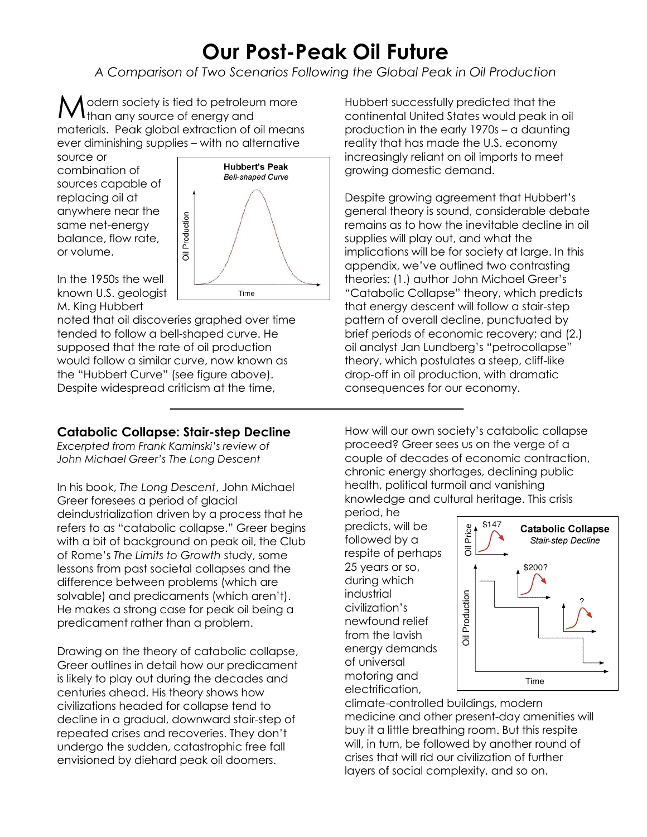## **Our Post-Peak Oil Future**

*A Comparison of Two Scenarios Following the Global Peak in Oil Production*

odern society is tied to petroleum more Modern society is tied to petroleur<br>Mthan any source of energy and materials. Peak global extraction of oil means ever diminishing supplies – with no alternative

Production

 $\overline{\overline{0}}$ 

**Hubbert's Peak Bell-shaped Curve** 

Time

source or combination of sources capable of replacing oil at anywhere near the same net-energy balance, flow rate, or volume.



noted that oil discoveries graphed over time tended to follow a bell-shaped curve. He supposed that the rate of oil production would follow a similar curve, now known as the "Hubbert Curve" (see figure above). Despite widespread criticism at the time,

## **Catabolic Collapse: Stair-step Decline**

*Excerpted from Frank Kaminski's review of John Michael Greer's The Long Descent*

In his book, *The Long Descent*, John Michael Greer foresees a period of glacial deindustrialization driven by a process that he refers to as "catabolic collapse." Greer begins with a bit of background on peak oil, the Club of Rome's *The Limits to Growth* study, some lessons from past societal collapses and the difference between problems (which are solvable) and predicaments (which aren't). He makes a strong case for peak oil being a predicament rather than a problem.

Drawing on the theory of catabolic collapse, Greer outlines in detail how our predicament is likely to play out during the decades and centuries ahead. His theory shows how civilizations headed for collapse tend to decline in a gradual, downward stair-step of repeated crises and recoveries. They don't undergo the sudden, catastrophic free fall envisioned by diehard peak oil doomers.

Hubbert successfully predicted that the continental United States would peak in oil production in the early 1970s – a daunting reality that has made the U.S. economy increasingly reliant on oil imports to meet growing domestic demand.

Despite growing agreement that Hubbert's general theory is sound, considerable debate remains as to how the inevitable decline in oil supplies will play out, and what the implications will be for society at large. In this appendix, we've outlined two contrasting theories: (1.) author John Michael Greer's "Catabolic Collapse" theory, which predicts that energy descent will follow a stair-step pattern of overall decline, punctuated by brief periods of economic recovery; and (2.) oil analyst Jan Lundberg's "petrocollapse" theory, which postulates a steep, cliff-like drop-off in oil production, with dramatic consequences for our economy.

How will our own society's catabolic collapse proceed? Greer sees us on the verge of a couple of decades of economic contraction, chronic energy shortages, declining public health, political turmoil and vanishing knowledge and cultural heritage. This crisis

period, he predicts, will be followed by a respite of perhaps 25 years or so, during which industrial civilization's newfound relief from the lavish energy demands of universal motoring and electrification,



climate-controlled buildings, modern medicine and other present-day amenities will buy it a little breathing room. But this respite will, in turn, be followed by another round of crises that will rid our civilization of further layers of social complexity, and so on.